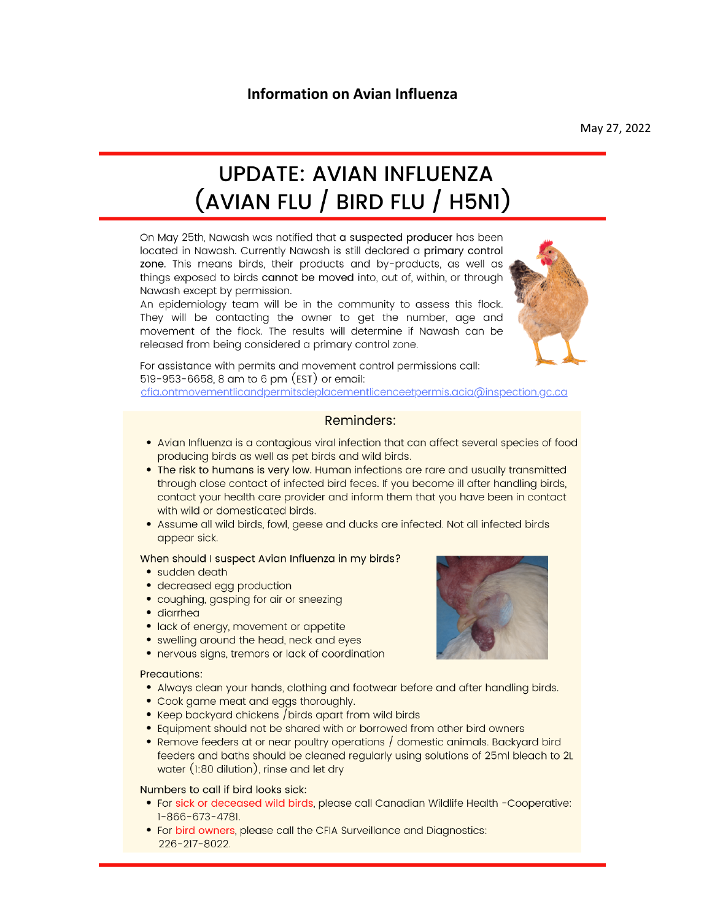# **Information on Avian Influenza**

May 27, 2022

# **UPDATE: AVIAN INFLUENZA**  $(AVIAN FLU / BIRD FLU / H5NI)$

On May 25th, Nawash was notified that a suspected producer has been located in Nawash. Currently Nawash is still declared a primary control zone. This means birds, their products and by-products, as well as things exposed to birds cannot be moved into, out of, within, or through Nawash except by permission.

An epidemiology team will be in the community to assess this flock. They will be contacting the owner to get the number, age and movement of the flock. The results will determine if Nawash can be released from being considered a primary control zone.



For assistance with permits and movement control permissions call: 519-953-6658, 8 am to 6 pm (EST) or email: cfia.ontmovementlicandpermitsdeplacementlicenceetpermis.acia@inspection.gc.ca

## **Reminders:**

- Avian Influenza is a contagious viral infection that can affect several species of food producing birds as well as pet birds and wild birds.
- . The risk to humans is very low. Human infections are rare and usually transmitted through close contact of infected bird feces. If you become ill after handling birds, contact your health care provider and inform them that you have been in contact with wild or domesticated birds.
- Assume all wild birds, fowl, geese and ducks are infected. Not all infected birds appear sick.

#### When should I suspect Avian Influenza in my birds?

- sudden death
- decreased egg production
- coughing, gasping for air or sneezing
- · diarrhea
- · lack of energy, movement or appetite
- swelling around the head, neck and eyes
- nervous signs, tremors or lack of coordination

#### **Precautions:**

- Always clean your hands, clothing and footwear before and after handling birds.
- Cook game meat and eggs thoroughly.
- Keep backyard chickens / birds apart from wild birds
- Equipment should not be shared with or borrowed from other bird owners
- Remove feeders at or near poultry operations / domestic animals. Backyard bird feeders and baths should be cleaned regularly using solutions of 25ml bleach to 2L water (1:80 dilution), rinse and let dry

#### Numbers to call if bird looks sick:

- For sick or deceased wild birds, please call Canadian Wildlife Health -Cooperative: 1-866-673-4781.
- For bird owners, please call the CFIA Surveillance and Diagnostics: 226-217-8022.

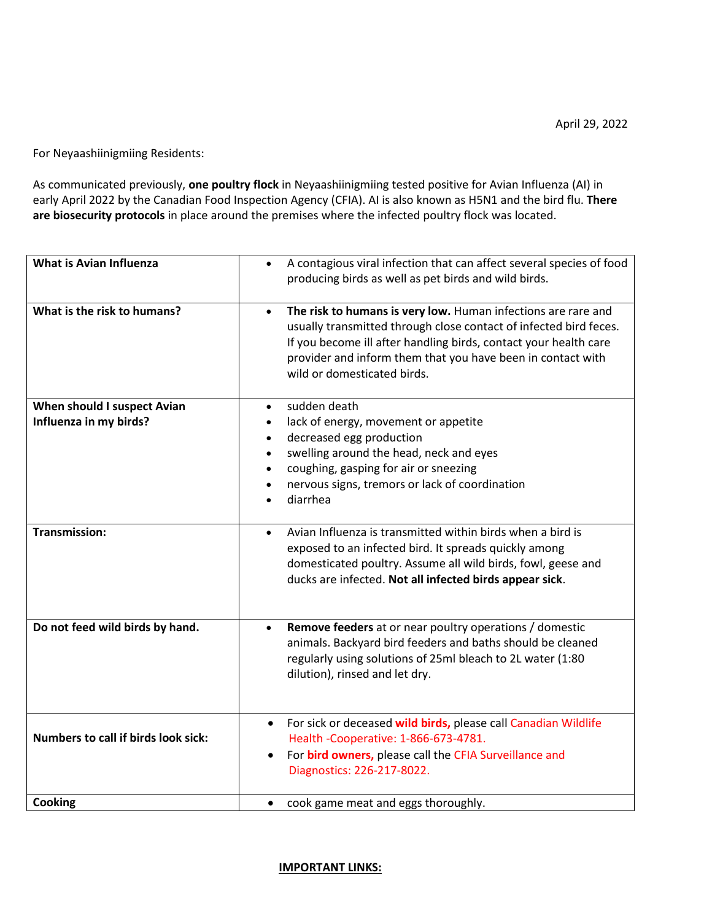For Neyaashiinigmiing Residents:

As communicated previously, **one poultry flock** in Neyaashiinigmiing tested positive for Avian Influenza (AI) in early April 2022 by the Canadian Food Inspection Agency (CFIA). AI is also known as H5N1 and the bird flu. **There are biosecurity protocols** in place around the premises where the infected poultry flock was located.

| What is Avian Influenza                               | A contagious viral infection that can affect several species of food<br>$\bullet$<br>producing birds as well as pet birds and wild birds.                                                                                                                                                                         |
|-------------------------------------------------------|-------------------------------------------------------------------------------------------------------------------------------------------------------------------------------------------------------------------------------------------------------------------------------------------------------------------|
| What is the risk to humans?                           | The risk to humans is very low. Human infections are rare and<br>$\bullet$<br>usually transmitted through close contact of infected bird feces.<br>If you become ill after handling birds, contact your health care<br>provider and inform them that you have been in contact with<br>wild or domesticated birds. |
| When should I suspect Avian<br>Influenza in my birds? | sudden death<br>$\bullet$<br>lack of energy, movement or appetite<br>decreased egg production<br>$\bullet$<br>swelling around the head, neck and eyes<br>$\bullet$<br>coughing, gasping for air or sneezing<br>nervous signs, tremors or lack of coordination<br>diarrhea                                         |
| <b>Transmission:</b>                                  | Avian Influenza is transmitted within birds when a bird is<br>$\bullet$<br>exposed to an infected bird. It spreads quickly among<br>domesticated poultry. Assume all wild birds, fowl, geese and<br>ducks are infected. Not all infected birds appear sick.                                                       |
| Do not feed wild birds by hand.                       | Remove feeders at or near poultry operations / domestic<br>$\bullet$<br>animals. Backyard bird feeders and baths should be cleaned<br>regularly using solutions of 25ml bleach to 2L water (1:80<br>dilution), rinsed and let dry.                                                                                |
| Numbers to call if birds look sick:                   | For sick or deceased wild birds, please call Canadian Wildlife<br>Health -Cooperative: 1-866-673-4781.<br>For bird owners, please call the CFIA Surveillance and<br>Diagnostics: 226-217-8022.                                                                                                                    |
| Cooking                                               | • cook game meat and eggs thoroughly.                                                                                                                                                                                                                                                                             |

### **IMPORTANT LINKS:**